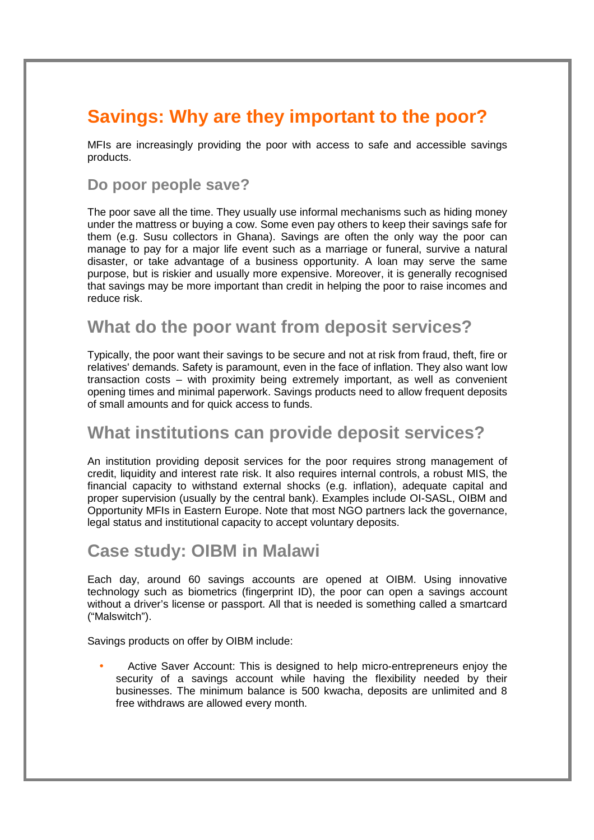# **Savings: Why are they important to the poor?**

MFIs are increasingly providing the poor with access to safe and accessible savings products.

#### **Do poor people save?**

The poor save all the time. They usually use informal mechanisms such as hiding money under the mattress or buying a cow. Some even pay others to keep their savings safe for them (e.g. Susu collectors in Ghana). Savings are often the only way the poor can manage to pay for a major life event such as a marriage or funeral, survive a natural disaster, or take advantage of a business opportunity. A loan may serve the same purpose, but is riskier and usually more expensive. Moreover, it is generally recognised that savings may be more important than credit in helping the poor to raise incomes and reduce risk.

#### **What do the poor want from deposit services?**

Typically, the poor want their savings to be secure and not at risk from fraud, theft, fire or relatives' demands. Safety is paramount, even in the face of inflation. They also want low transaction costs – with proximity being extremely important, as well as convenient opening times and minimal paperwork. Savings products need to allow frequent deposits of small amounts and for quick access to funds.

## **What institutions can provide deposit services?**

An institution providing deposit services for the poor requires strong management of credit, liquidity and interest rate risk. It also requires internal controls, a robust MIS, the financial capacity to withstand external shocks (e.g. inflation), adequate capital and proper supervision (usually by the central bank). Examples include OI-SASL, OIBM and Opportunity MFIs in Eastern Europe. Note that most NGO partners lack the governance, legal status and institutional capacity to accept voluntary deposits.

### **Case study: OIBM in Malawi**

Each day, around 60 savings accounts are opened at OIBM. Using innovative technology such as biometrics (fingerprint ID), the poor can open a savings account without a driver's license or passport. All that is needed is something called a smartcard ("Malswitch").

Savings products on offer by OIBM include:

• Active Saver Account: This is designed to help micro-entrepreneurs enjoy the security of a savings account while having the flexibility needed by their businesses. The minimum balance is 500 kwacha, deposits are unlimited and 8 free withdraws are allowed every month.